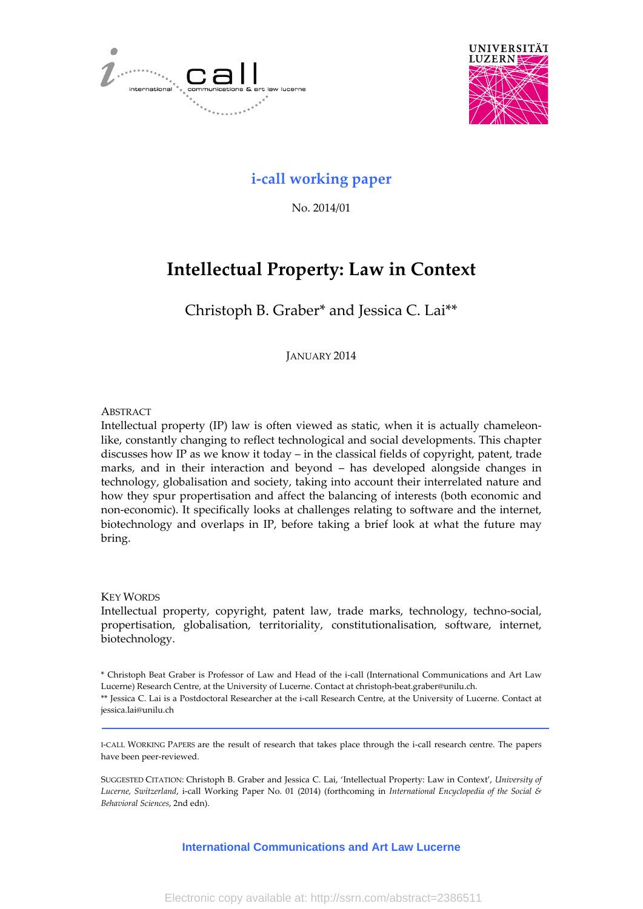



## **i‐call working paper**

No. 2014/01

# **Intellectual Property: Law in Context**

Christoph B. Graber\* and Jessica C. Lai\*\*

JANUARY 2014

#### **ABSTRACT**

Intellectual property (IP) law is often viewed as static, when it is actually chameleon‐ like, constantly changing to reflect technological and social developments. This chapter discusses how IP as we know it today – in the classical fields of copyright, patent, trade marks, and in their interaction and beyond – has developed alongside changes in technology, globalisation and society, taking into account their interrelated nature and how they spur propertisation and affect the balancing of interests (both economic and non‐economic). It specifically looks at challenges relating to software and the internet, biotechnology and overlaps in IP, before taking a brief look at what the future may bring.

#### KEY WORDS

Intellectual property, copyright, patent law, trade marks, technology, techno-social, propertisation, globalisation, territoriality, constitutionalisation, software, internet, biotechnology.

\* Christoph Beat Graber is Professor of Law and Head of the i‐call (International Communications and Art Law Lucerne) Research Centre, at the University of Lucerne. Contact at christoph‐beat.graber@unilu.ch.

\*\* Jessica C. Lai is a Postdoctoral Researcher at the i‐call Research Centre, at the University of Lucerne. Contact at jessica.lai@unilu.ch

I‐CALL WORKING PAPERS are the result of research that takes place through the i‐call research centre. The papers have been peer‐reviewed.

SUGGESTED CITATION: Christoph B. Graber and Jessica C. Lai, 'Intellectual Property: Law in Context', *University of Lucerne, Switzerland*, i‐call Working Paper No. 01 (2014) (forthcoming in *International Encyclopedia of the Social & Behavioral Sciences*, 2nd edn).

**International Communications and Art Law Lucerne**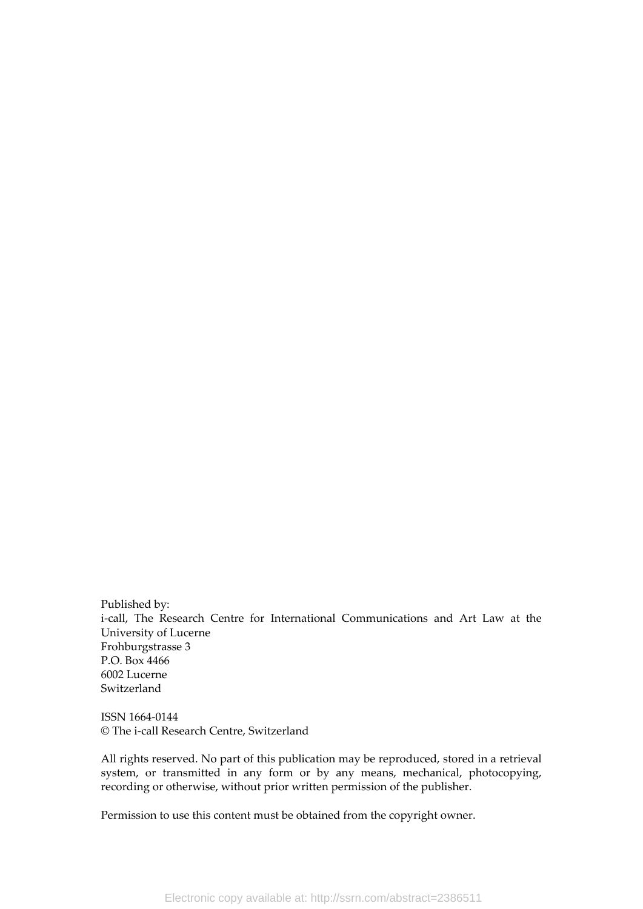Published by: i-call, The Research Centre for International Communications and Art Law at the University of Lucerne Frohburgstrasse 3 P.O. Box 4466 6002 Lucerne Switzerland

ISSN 1664‐0144 © The i‐call Research Centre, Switzerland

All rights reserved. No part of this publication may be reproduced, stored in a retrieval system, or transmitted in any form or by any means, mechanical, photocopying, recording or otherwise, without prior written permission of the publisher.

Permission to use this content must be obtained from the copyright owner.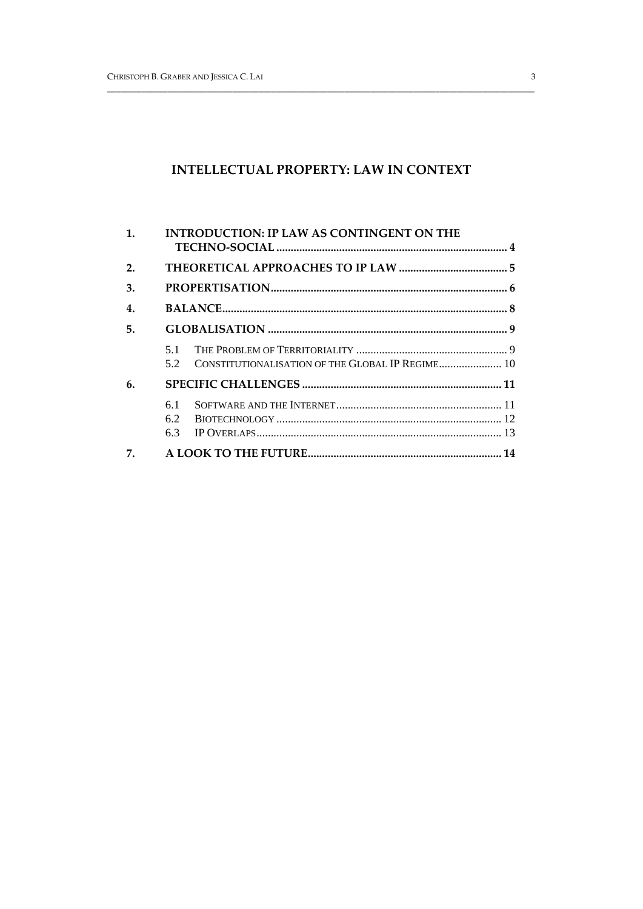## **INTELLECTUAL PROPERTY: LAW IN CONTEXT**

| $\mathbf{1}$ . | <b>INTRODUCTION: IP LAW AS CONTINGENT ON THE</b> |                                                  |  |
|----------------|--------------------------------------------------|--------------------------------------------------|--|
| 2.             |                                                  |                                                  |  |
| 3.             |                                                  |                                                  |  |
| 4.             |                                                  |                                                  |  |
| 5.             |                                                  |                                                  |  |
|                | 5.1<br>5.2                                       | CONSTITUTIONALISATION OF THE GLOBAL IP REGIME 10 |  |
| 6.             |                                                  |                                                  |  |
|                | 6.1<br>$6.2^{\circ}$<br>6.3                      |                                                  |  |
| 7.             |                                                  |                                                  |  |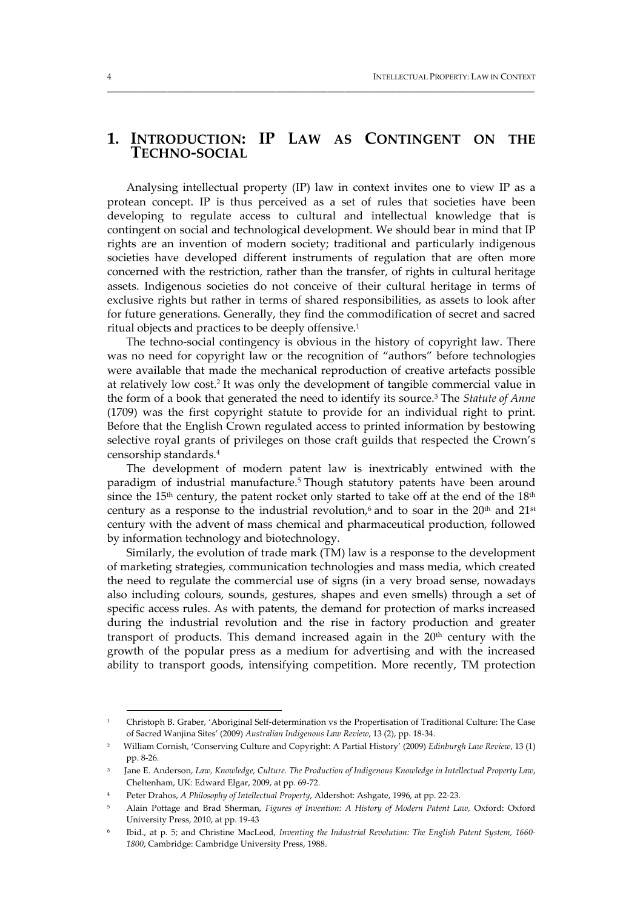## **1. INTRODUCTION: IP LAW AS CONTINGENT ON THE TECHNO‐SOCIAL**

\_\_\_\_\_\_\_\_\_\_\_\_\_\_\_\_\_\_\_\_\_\_\_\_\_\_\_\_\_\_\_\_\_\_\_\_\_\_\_\_\_\_\_\_\_\_\_\_\_\_\_\_\_\_\_\_\_\_\_\_\_\_\_\_\_\_\_\_\_\_\_\_\_\_\_\_\_\_\_\_\_\_\_\_\_\_\_\_\_\_\_\_\_\_\_\_\_\_\_

Analysing intellectual property (IP) law in context invites one to view IP as a protean concept. IP is thus perceived as a set of rules that societies have been developing to regulate access to cultural and intellectual knowledge that is contingent on social and technological development. We should bear in mind that IP rights are an invention of modern society; traditional and particularly indigenous societies have developed different instruments of regulation that are often more concerned with the restriction, rather than the transfer, of rights in cultural heritage assets. Indigenous societies do not conceive of their cultural heritage in terms of exclusive rights but rather in terms of shared responsibilities, as assets to look after for future generations. Generally, they find the commodification of secret and sacred ritual objects and practices to be deeply offensive.1

The techno-social contingency is obvious in the history of copyright law. There was no need for copyright law or the recognition of "authors" before technologies were available that made the mechanical reproduction of creative artefacts possible at relatively low cost.2 It was only the development of tangible commercial value in the form of a book that generated the need to identify its source.3 The *Statute of Anne* (1709) was the first copyright statute to provide for an individual right to print. Before that the English Crown regulated access to printed information by bestowing selective royal grants of privileges on those craft guilds that respected the Crown's censorship standards.4

The development of modern patent law is inextricably entwined with the paradigm of industrial manufacture.<sup>5</sup> Though statutory patents have been around since the 15<sup>th</sup> century, the patent rocket only started to take off at the end of the  $18<sup>th</sup>$ century as a response to the industrial revolution,<sup>6</sup> and to soar in the  $20<sup>th</sup>$  and  $21<sup>st</sup>$ century with the advent of mass chemical and pharmaceutical production, followed by information technology and biotechnology.

Similarly, the evolution of trade mark (TM) law is a response to the development of marketing strategies, communication technologies and mass media, which created the need to regulate the commercial use of signs (in a very broad sense, nowadays also including colours, sounds, gestures, shapes and even smells) through a set of specific access rules. As with patents, the demand for protection of marks increased during the industrial revolution and the rise in factory production and greater transport of products. This demand increased again in the  $20<sup>th</sup>$  century with the growth of the popular press as a medium for advertising and with the increased ability to transport goods, intensifying competition. More recently, TM protection

<sup>1</sup> Christoph B. Graber, 'Aboriginal Self‐determination vs the Propertisation of Traditional Culture: The Case of Sacred Wanjina Sites' (2009) *Australian Indigenous Law Review*, 13 (2), pp. 18‐34.

<sup>2</sup> William Cornish, 'Conserving Culture and Copyright: A Partial History' (2009) *Edinburgh Law Review*, 13 (1) pp. 8‐26.

<sup>3</sup> Jane E. Anderson, *Law, Knowledge, Culture. The Production of Indigenous Knowledge in Intellectual Property Law*, Cheltenham, UK: Edward Elgar, 2009, at pp. 69‐72.

<sup>4</sup> Peter Drahos, *A Philosophy of Intellectual Property*, Aldershot: Ashgate, 1996, at pp. 22‐23.

<sup>5</sup> Alain Pottage and Brad Sherman, *Figures of Invention: A History of Modern Patent Law*, Oxford: Oxford University Press, 2010, at pp. 19‐43

<sup>6</sup> Ibid., at p. 5; and Christine MacLeod, *Inventing the Industrial Revolution: The English Patent System, 1660‐ 1800*, Cambridge: Cambridge University Press, 1988.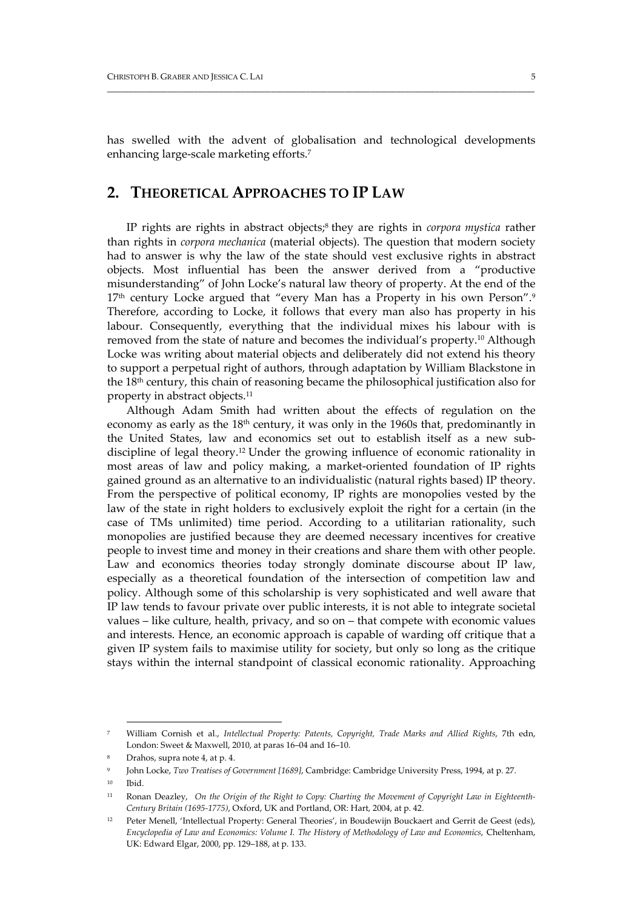has swelled with the advent of globalisation and technological developments enhancing large-scale marketing efforts.<sup>7</sup>

## **2. THEORETICAL APPROACHES TO IP LAW**

IP rights are rights in abstract objects;8 they are rights in *corpora mystica* rather than rights in *corpora mechanica* (material objects). The question that modern society had to answer is why the law of the state should vest exclusive rights in abstract objects. Most influential has been the answer derived from a "productive misunderstanding" of John Locke's natural law theory of property. At the end of the 17<sup>th</sup> century Locke argued that "every Man has a Property in his own Person".<sup>9</sup> Therefore, according to Locke, it follows that every man also has property in his labour. Consequently, everything that the individual mixes his labour with is removed from the state of nature and becomes the individual's property.10 Although Locke was writing about material objects and deliberately did not extend his theory to support a perpetual right of authors, through adaptation by William Blackstone in the 18th century, this chain of reasoning became the philosophical justification also for property in abstract objects.11

Although Adam Smith had written about the effects of regulation on the economy as early as the  $18<sup>th</sup>$  century, it was only in the 1960s that, predominantly in the United States, law and economics set out to establish itself as a new sub‐ discipline of legal theory.12 Under the growing influence of economic rationality in most areas of law and policy making, a market‐oriented foundation of IP rights gained ground as an alternative to an individualistic (natural rights based) IP theory. From the perspective of political economy, IP rights are monopolies vested by the law of the state in right holders to exclusively exploit the right for a certain (in the case of TMs unlimited) time period. According to a utilitarian rationality, such monopolies are justified because they are deemed necessary incentives for creative people to invest time and money in their creations and share them with other people. Law and economics theories today strongly dominate discourse about IP law, especially as a theoretical foundation of the intersection of competition law and policy. Although some of this scholarship is very sophisticated and well aware that IP law tends to favour private over public interests, it is not able to integrate societal values – like culture, health, privacy, and so on – that compete with economic values and interests. Hence, an economic approach is capable of warding off critique that a given IP system fails to maximise utility for society, but only so long as the critique stays within the internal standpoint of classical economic rationality. Approaching

<sup>7</sup> William Cornish et al., *Intellectual Property: Patents, Copyright, Trade Marks and Allied Rights*, 7th edn, London: Sweet & Maxwell, 2010, at paras 16–04 and 16–10.

Drahos, supra note 4, at p. 4.

<sup>9</sup> John Locke, *Two Treatises of Government [1689]*, Cambridge: Cambridge University Press, 1994, at p. 27.

<sup>10</sup> Ibid.

<sup>&</sup>lt;sup>11</sup> Ronan Deazley, On the Origin of the Right to Copy: Charting the Movement of Copyright Law in Eighteenth-*Century Britain (1695‐1775)*, Oxford, UK and Portland, OR: Hart, 2004, at p. 42.

<sup>12</sup> Peter Menell, 'Intellectual Property: General Theories', in Boudewijn Bouckaert and Gerrit de Geest (eds), *Encyclopedia of Law and Economics: Volume I. The History of Methodology of Law and Economics*, Cheltenham, UK: Edward Elgar, 2000, pp. 129–188, at p. 133.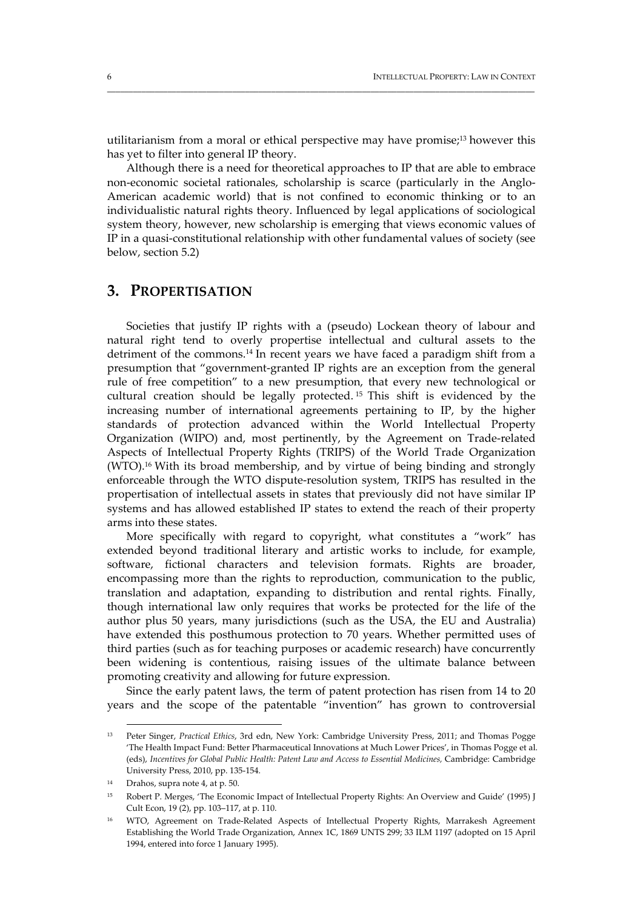utilitarianism from a moral or ethical perspective may have promise;13 however this has yet to filter into general IP theory.

\_\_\_\_\_\_\_\_\_\_\_\_\_\_\_\_\_\_\_\_\_\_\_\_\_\_\_\_\_\_\_\_\_\_\_\_\_\_\_\_\_\_\_\_\_\_\_\_\_\_\_\_\_\_\_\_\_\_\_\_\_\_\_\_\_\_\_\_\_\_\_\_\_\_\_\_\_\_\_\_\_\_\_\_\_\_\_\_\_\_\_\_\_\_\_\_\_\_\_

Although there is a need for theoretical approaches to IP that are able to embrace non-economic societal rationales, scholarship is scarce (particularly in the Anglo-American academic world) that is not confined to economic thinking or to an individualistic natural rights theory. Influenced by legal applications of sociological system theory, however, new scholarship is emerging that views economic values of IP in a quasi‐constitutional relationship with other fundamental values of society (see below, section 5.2)

#### **3. PROPERTISATION**

Societies that justify IP rights with a (pseudo) Lockean theory of labour and natural right tend to overly propertise intellectual and cultural assets to the detriment of the commons.14 In recent years we have faced a paradigm shift from a presumption that "government‐granted IP rights are an exception from the general rule of free competition" to a new presumption, that every new technological or cultural creation should be legally protected. <sup>15</sup> This shift is evidenced by the increasing number of international agreements pertaining to IP, by the higher standards of protection advanced within the World Intellectual Property Organization (WIPO) and, most pertinently, by the Agreement on Trade‐related Aspects of Intellectual Property Rights (TRIPS) of the World Trade Organization (WTO).16 With its broad membership, and by virtue of being binding and strongly enforceable through the WTO dispute‐resolution system, TRIPS has resulted in the propertisation of intellectual assets in states that previously did not have similar IP systems and has allowed established IP states to extend the reach of their property arms into these states.

More specifically with regard to copyright, what constitutes a "work" has extended beyond traditional literary and artistic works to include, for example, software, fictional characters and television formats. Rights are broader, encompassing more than the rights to reproduction, communication to the public, translation and adaptation, expanding to distribution and rental rights. Finally, though international law only requires that works be protected for the life of the author plus 50 years, many jurisdictions (such as the USA, the EU and Australia) have extended this posthumous protection to 70 years. Whether permitted uses of third parties (such as for teaching purposes or academic research) have concurrently been widening is contentious, raising issues of the ultimate balance between promoting creativity and allowing for future expression.

Since the early patent laws, the term of patent protection has risen from 14 to 20 years and the scope of the patentable "invention" has grown to controversial

<u> 1989 - Johann Stoff, deutscher Stoff, der Stoff, der Stoff, der Stoff, der Stoff, der Stoff, der Stoff, der S</u>

<sup>13</sup> Peter Singer, *Practical Ethics*, 3rd edn, New York: Cambridge University Press, 2011; and Thomas Pogge 'The Health Impact Fund: Better Pharmaceutical Innovations at Much Lower Prices', in Thomas Pogge et al. (eds), *Incentives for Global Public Health: Patent Law and Access to Essential Medicines,* Cambridge: Cambridge University Press, 2010, pp. 135‐154.

<sup>14</sup> Drahos, supra note 4, at p. 50.

<sup>15</sup> Robert P. Merges, 'The Economic Impact of Intellectual Property Rights: An Overview and Guide' (1995) J Cult Econ, 19 (2), pp. 103–117, at p. 110.

<sup>16</sup> WTO, Agreement on Trade‐Related Aspects of Intellectual Property Rights, Marrakesh Agreement Establishing the World Trade Organization, Annex 1C, 1869 UNTS 299; 33 ILM 1197 (adopted on 15 April 1994, entered into force 1 January 1995).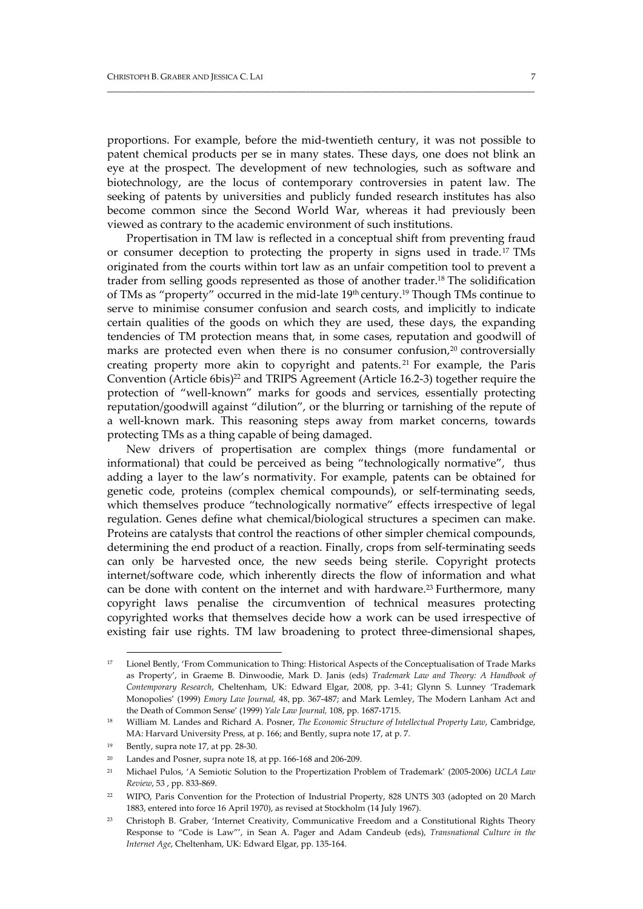proportions. For example, before the mid‐twentieth century, it was not possible to patent chemical products per se in many states. These days, one does not blink an eye at the prospect. The development of new technologies, such as software and biotechnology, are the locus of contemporary controversies in patent law. The seeking of patents by universities and publicly funded research institutes has also become common since the Second World War, whereas it had previously been viewed as contrary to the academic environment of such institutions.

\_\_\_\_\_\_\_\_\_\_\_\_\_\_\_\_\_\_\_\_\_\_\_\_\_\_\_\_\_\_\_\_\_\_\_\_\_\_\_\_\_\_\_\_\_\_\_\_\_\_\_\_\_\_\_\_\_\_\_\_\_\_\_\_\_\_\_\_\_\_\_\_\_\_\_\_\_\_\_\_\_\_\_\_\_\_\_\_\_\_\_\_\_\_\_\_\_\_\_

Propertisation in TM law is reflected in a conceptual shift from preventing fraud or consumer deception to protecting the property in signs used in trade.17 TMs originated from the courts within tort law as an unfair competition tool to prevent a trader from selling goods represented as those of another trader.18 The solidification of TMs as "property" occurred in the mid-late 19th century.<sup>19</sup> Though TMs continue to serve to minimise consumer confusion and search costs, and implicitly to indicate certain qualities of the goods on which they are used, these days, the expanding tendencies of TM protection means that, in some cases, reputation and goodwill of marks are protected even when there is no consumer confusion, $20$  controversially creating property more akin to copyright and patents. <sup>21</sup> For example, the Paris Convention (Article 6bis)<sup>22</sup> and TRIPS Agreement (Article 16.2-3) together require the protection of "well-known" marks for goods and services, essentially protecting reputation/goodwill against "dilution", or the blurring or tarnishing of the repute of a well-known mark. This reasoning steps away from market concerns, towards protecting TMs as a thing capable of being damaged.

New drivers of propertisation are complex things (more fundamental or informational) that could be perceived as being "technologically normative", thus adding a layer to the law's normativity. For example, patents can be obtained for genetic code, proteins (complex chemical compounds), or self-terminating seeds, which themselves produce "technologically normative" effects irrespective of legal regulation. Genes define what chemical/biological structures a specimen can make. Proteins are catalysts that control the reactions of other simpler chemical compounds, determining the end product of a reaction. Finally, crops from self-terminating seeds can only be harvested once, the new seeds being sterile. Copyright protects internet/software code, which inherently directs the flow of information and what can be done with content on the internet and with hardware.<sup>23</sup> Furthermore, many copyright laws penalise the circumvention of technical measures protecting copyrighted works that themselves decide how a work can be used irrespective of existing fair use rights. TM law broadening to protect three-dimensional shapes,

<u> 1989 - Johann Stoff, deutscher Stoff, der Stoff, der Stoff, der Stoff, der Stoff, der Stoff, der Stoff, der S</u>

<sup>&</sup>lt;sup>17</sup> Lionel Bently, 'From Communication to Thing: Historical Aspects of the Conceptualisation of Trade Marks as Property', in Graeme B. Dinwoodie, Mark D. Janis (eds) *Trademark Law and Theory: A Handbook of Contemporary Research*, Cheltenham, UK: Edward Elgar, 2008, pp. 3‐41; Glynn S. Lunney 'Trademark Monopolies' (1999) *Emory Law Journal,* pp. 367‐487; and Mark Lemley, The Modern Lanham Act and the Death of Common Sense' (1999) *Yale Law Journal,* 108, pp. 1687‐1715.

<sup>18</sup> William M. Landes and Richard A. Posner, *The Economic Structure of Intellectual Property Law*, Cambridge, MA: Harvard University Press, at p. 166; and Bently, supra note 17, at p. 7.

Bently, supra note 17, at pp. 28-30.

<sup>&</sup>lt;sup>20</sup> Landes and Posner, supra note 18, at pp. 166-168 and 206-209.

<sup>21</sup> Michael Pulos, 'A Semiotic Solution to the Propertization Problem of Trademark' (2005‐2006) *UCLA Law Review*, 53 , pp. 833‐869.

<sup>22</sup> WIPO, Paris Convention for the Protection of Industrial Property, 828 UNTS 303 (adopted on 20 March 1883, entered into force 16 April 1970), as revised at Stockholm (14 July 1967).

<sup>23</sup> Christoph B. Graber, 'Internet Creativity, Communicative Freedom and a Constitutional Rights Theory Response to "Code is Law"', in Sean A. Pager and Adam Candeub (eds), *Transnational Culture in the Internet Age*, Cheltenham, UK: Edward Elgar, pp. 135‐164.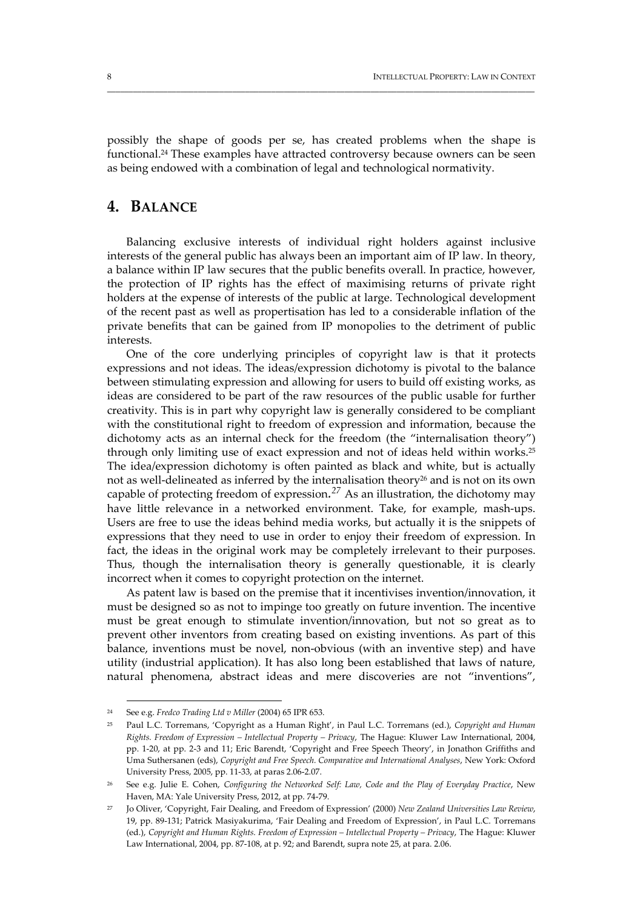possibly the shape of goods per se, has created problems when the shape is functional.24 These examples have attracted controversy because owners can be seen as being endowed with a combination of legal and technological normativity.

\_\_\_\_\_\_\_\_\_\_\_\_\_\_\_\_\_\_\_\_\_\_\_\_\_\_\_\_\_\_\_\_\_\_\_\_\_\_\_\_\_\_\_\_\_\_\_\_\_\_\_\_\_\_\_\_\_\_\_\_\_\_\_\_\_\_\_\_\_\_\_\_\_\_\_\_\_\_\_\_\_\_\_\_\_\_\_\_\_\_\_\_\_\_\_\_\_\_\_

## **4. BALANCE**

Balancing exclusive interests of individual right holders against inclusive interests of the general public has always been an important aim of IP law. In theory, a balance within IP law secures that the public benefits overall. In practice, however, the protection of IP rights has the effect of maximising returns of private right holders at the expense of interests of the public at large. Technological development of the recent past as well as propertisation has led to a considerable inflation of the private benefits that can be gained from IP monopolies to the detriment of public interests.

One of the core underlying principles of copyright law is that it protects expressions and not ideas. The ideas/expression dichotomy is pivotal to the balance between stimulating expression and allowing for users to build off existing works, as ideas are considered to be part of the raw resources of the public usable for further creativity. This is in part why copyright law is generally considered to be compliant with the constitutional right to freedom of expression and information, because the dichotomy acts as an internal check for the freedom (the "internalisation theory") through only limiting use of exact expression and not of ideas held within works.25 The idea/expression dichotomy is often painted as black and white, but is actually not as well-delineated as inferred by the internalisation theory<sup>26</sup> and is not on its own capable of protecting freedom of expression*. <sup>27</sup>* As an illustration, the dichotomy may have little relevance in a networked environment. Take, for example, mash-ups. Users are free to use the ideas behind media works, but actually it is the snippets of expressions that they need to use in order to enjoy their freedom of expression. In fact, the ideas in the original work may be completely irrelevant to their purposes. Thus, though the internalisation theory is generally questionable, it is clearly incorrect when it comes to copyright protection on the internet.

As patent law is based on the premise that it incentivises invention/innovation, it must be designed so as not to impinge too greatly on future invention. The incentive must be great enough to stimulate invention/innovation, but not so great as to prevent other inventors from creating based on existing inventions. As part of this balance, inventions must be novel, non‐obvious (with an inventive step) and have utility (industrial application). It has also long been established that laws of nature, natural phenomena, abstract ideas and mere discoveries are not "inventions",

<u> 1989 - Johann Stoff, deutscher Stoff, der Stoff, der Stoff, der Stoff, der Stoff, der Stoff, der Stoff, der S</u>

<sup>24</sup> See e.g. *Fredco Trading Ltd v Miller* (2004) 65 IPR 653.

<sup>25</sup> Paul L.C. Torremans, 'Copyright as a Human Right', in Paul L.C. Torremans (ed.), *Copyright and Human Rights. Freedom of Expression – Intellectual Property – Privacy*, The Hague: Kluwer Law International, 2004, pp. 1‐20, at pp. 2‐3 and 11; Eric Barendt, 'Copyright and Free Speech Theory', in Jonathon Griffiths and Uma Suthersanen (eds), *Copyright and Free Speech. Comparative and International Analyses*, New York: Oxford University Press, 2005, pp. 11‐33, at paras 2.06‐2.07.

<sup>26</sup> See e.g. Julie E. Cohen, *Configuring the Networked Self: Law, Code and the Play of Everyday Practice*, New Haven, MA: Yale University Press, 2012, at pp. 74‐79.

<sup>27</sup> Jo Oliver, 'Copyright, Fair Dealing, and Freedom of Expression' (2000) *New Zealand Universities Law Review*, 19, pp. 89‐131; Patrick Masiyakurima, 'Fair Dealing and Freedom of Expression', in Paul L.C. Torremans (ed.), *Copyright and Human Rights. Freedom of Expression – Intellectual Property – Privacy*, The Hague: Kluwer Law International, 2004, pp. 87-108, at p. 92; and Barendt, supra note 25, at para. 2.06.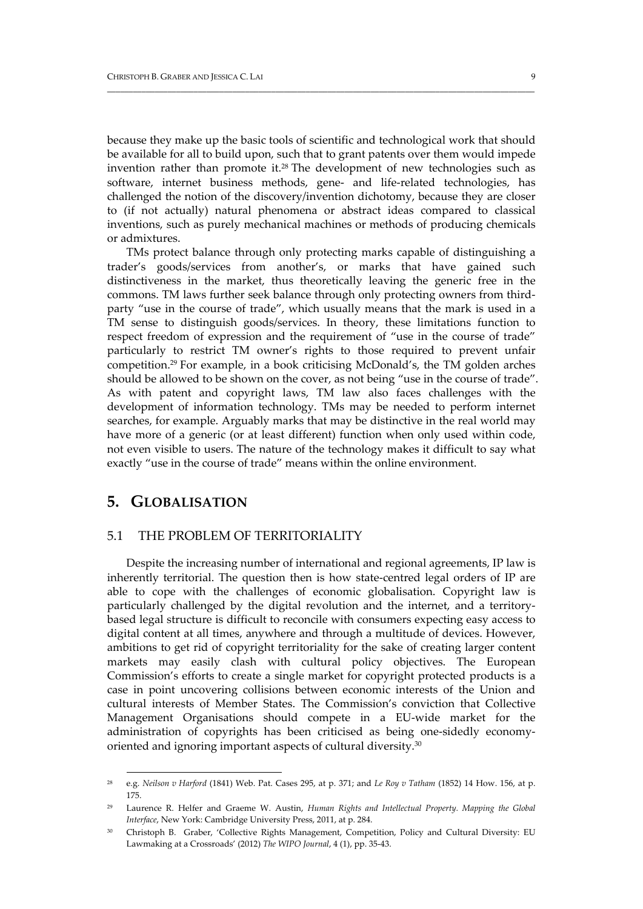because they make up the basic tools of scientific and technological work that should be available for all to build upon, such that to grant patents over them would impede invention rather than promote it.28 The development of new technologies such as software, internet business methods, gene- and life-related technologies, has challenged the notion of the discovery/invention dichotomy, because they are closer to (if not actually) natural phenomena or abstract ideas compared to classical inventions, such as purely mechanical machines or methods of producing chemicals or admixtures.

\_\_\_\_\_\_\_\_\_\_\_\_\_\_\_\_\_\_\_\_\_\_\_\_\_\_\_\_\_\_\_\_\_\_\_\_\_\_\_\_\_\_\_\_\_\_\_\_\_\_\_\_\_\_\_\_\_\_\_\_\_\_\_\_\_\_\_\_\_\_\_\_\_\_\_\_\_\_\_\_\_\_\_\_\_\_\_\_\_\_\_\_\_\_\_\_\_\_\_

TMs protect balance through only protecting marks capable of distinguishing a trader's goods/services from another's, or marks that have gained such distinctiveness in the market, thus theoretically leaving the generic free in the commons. TM laws further seek balance through only protecting owners from thirdparty "use in the course of trade", which usually means that the mark is used in a TM sense to distinguish goods/services. In theory, these limitations function to respect freedom of expression and the requirement of "use in the course of trade" particularly to restrict TM owner's rights to those required to prevent unfair competition.29 For example, in a book criticising McDonald's, the TM golden arches should be allowed to be shown on the cover, as not being "use in the course of trade". As with patent and copyright laws, TM law also faces challenges with the development of information technology. TMs may be needed to perform internet searches, for example. Arguably marks that may be distinctive in the real world may have more of a generic (or at least different) function when only used within code, not even visible to users. The nature of the technology makes it difficult to say what exactly "use in the course of trade" means within the online environment.

## **5. GLOBALISATION**

#### 5.1 THE PROBLEM OF TERRITORIALITY

<u> 1989 - Johann Stoff, deutscher Stoff, der Stoff, der Stoff, der Stoff, der Stoff, der Stoff, der Stoff, der S</u>

Despite the increasing number of international and regional agreements, IP law is inherently territorial. The question then is how state-centred legal orders of IP are able to cope with the challenges of economic globalisation. Copyright law is particularly challenged by the digital revolution and the internet, and a territorybased legal structure is difficult to reconcile with consumers expecting easy access to digital content at all times, anywhere and through a multitude of devices. However, ambitions to get rid of copyright territoriality for the sake of creating larger content markets may easily clash with cultural policy objectives. The European Commission's efforts to create a single market for copyright protected products is a case in point uncovering collisions between economic interests of the Union and cultural interests of Member States. The Commission's conviction that Collective Management Organisations should compete in a EU‐wide market for the administration of copyrights has been criticised as being one‐sidedly economy‐ oriented and ignoring important aspects of cultural diversity.30

<sup>28</sup> e.g. *Neilson v Harford* (1841) Web. Pat. Cases 295, at p. 371; and *Le Roy v Tatham* (1852) 14 How. 156, at p. 175.

<sup>29</sup> Laurence R. Helfer and Graeme W. Austin, *Human Rights and Intellectual Property. Mapping the Global Interface*, New York: Cambridge University Press, 2011, at p. 284.

<sup>&</sup>lt;sup>30</sup> Christoph B. Graber, 'Collective Rights Management, Competition, Policy and Cultural Diversity: EU Lawmaking at a Crossroads' (2012) *The WIPO Journal*, 4 (1), pp. 35‐43.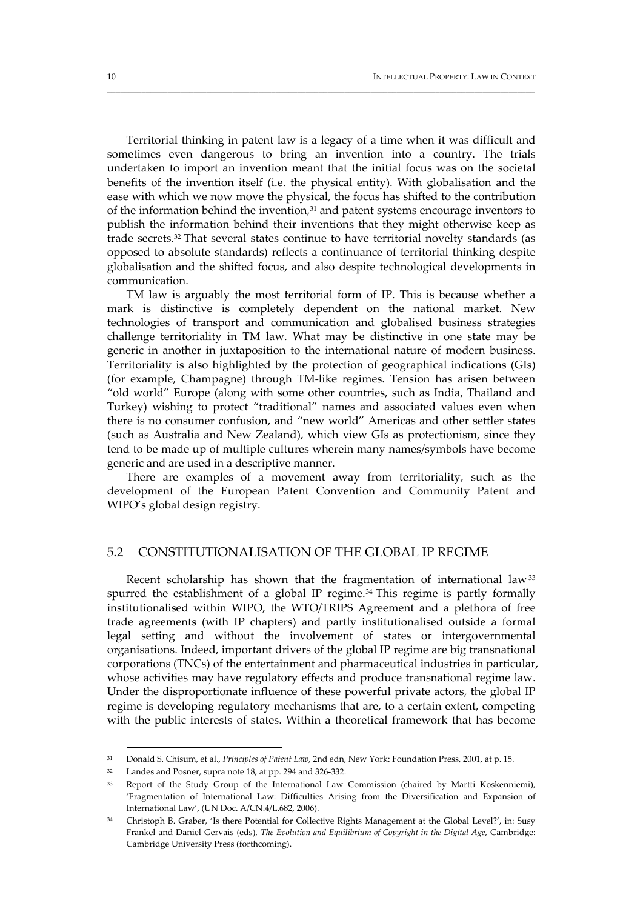Territorial thinking in patent law is a legacy of a time when it was difficult and sometimes even dangerous to bring an invention into a country. The trials undertaken to import an invention meant that the initial focus was on the societal benefits of the invention itself (i.e. the physical entity). With globalisation and the ease with which we now move the physical, the focus has shifted to the contribution of the information behind the invention,<sup>31</sup> and patent systems encourage inventors to publish the information behind their inventions that they might otherwise keep as trade secrets.32 That several states continue to have territorial novelty standards (as opposed to absolute standards) reflects a continuance of territorial thinking despite globalisation and the shifted focus, and also despite technological developments in communication.

\_\_\_\_\_\_\_\_\_\_\_\_\_\_\_\_\_\_\_\_\_\_\_\_\_\_\_\_\_\_\_\_\_\_\_\_\_\_\_\_\_\_\_\_\_\_\_\_\_\_\_\_\_\_\_\_\_\_\_\_\_\_\_\_\_\_\_\_\_\_\_\_\_\_\_\_\_\_\_\_\_\_\_\_\_\_\_\_\_\_\_\_\_\_\_\_\_\_\_

TM law is arguably the most territorial form of IP. This is because whether a mark is distinctive is completely dependent on the national market. New technologies of transport and communication and globalised business strategies challenge territoriality in TM law. What may be distinctive in one state may be generic in another in juxtaposition to the international nature of modern business. Territoriality is also highlighted by the protection of geographical indications (GIs) (for example, Champagne) through TM‐like regimes. Tension has arisen between "old world" Europe (along with some other countries, such as India, Thailand and Turkey) wishing to protect "traditional" names and associated values even when there is no consumer confusion, and "new world" Americas and other settler states (such as Australia and New Zealand), which view GIs as protectionism, since they tend to be made up of multiple cultures wherein many names/symbols have become generic and are used in a descriptive manner.

There are examples of a movement away from territoriality, such as the development of the European Patent Convention and Community Patent and WIPO's global design registry.

#### 5.2 CONSTITUTIONALISATION OF THE GLOBAL IP REGIME

Recent scholarship has shown that the fragmentation of international law<sup>33</sup> spurred the establishment of a global IP regime.<sup>34</sup> This regime is partly formally institutionalised within WIPO, the WTO/TRIPS Agreement and a plethora of free trade agreements (with IP chapters) and partly institutionalised outside a formal legal setting and without the involvement of states or intergovernmental organisations. Indeed, important drivers of the global IP regime are big transnational corporations (TNCs) of the entertainment and pharmaceutical industries in particular, whose activities may have regulatory effects and produce transnational regime law. Under the disproportionate influence of these powerful private actors, the global IP regime is developing regulatory mechanisms that are, to a certain extent, competing with the public interests of states. Within a theoretical framework that has become

<sup>31</sup> Donald S. Chisum, et al., *Principles of Patent Law*, 2nd edn, New York: Foundation Press, 2001, at p. 15.

<sup>&</sup>lt;sup>32</sup> Landes and Posner, supra note 18, at pp. 294 and 326-332.

<sup>&</sup>lt;sup>33</sup> Report of the Study Group of the International Law Commission (chaired by Martti Koskenniemi), 'Fragmentation of International Law: Difficulties Arising from the Diversification and Expansion of International Law', (UN Doc. A/CN.4/L.682, 2006).

<sup>34</sup> Christoph B. Graber, 'Is there Potential for Collective Rights Management at the Global Level?', in: Susy Frankel and Daniel Gervais (eds), *The Evolution and Equilibrium of Copyright in the Digital Age*, Cambridge: Cambridge University Press (forthcoming).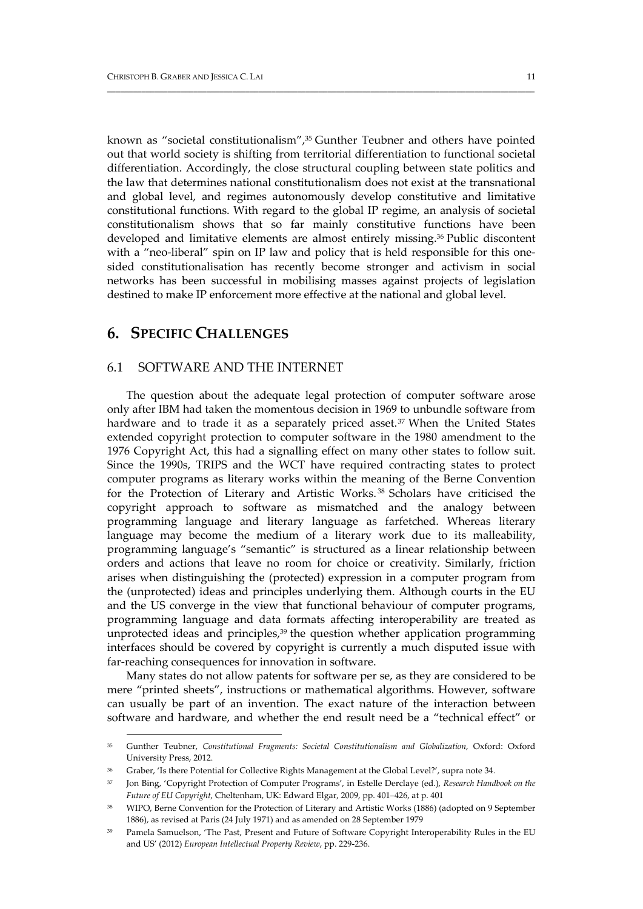known as "societal constitutionalism",<sup>35</sup> Gunther Teubner and others have pointed out that world society is shifting from territorial differentiation to functional societal differentiation. Accordingly, the close structural coupling between state politics and the law that determines national constitutionalism does not exist at the transnational and global level, and regimes autonomously develop constitutive and limitative constitutional functions. With regard to the global IP regime, an analysis of societal constitutionalism shows that so far mainly constitutive functions have been developed and limitative elements are almost entirely missing.36 Public discontent with a "neo-liberal" spin on IP law and policy that is held responsible for this onesided constitutionalisation has recently become stronger and activism in social networks has been successful in mobilising masses against projects of legislation destined to make IP enforcement more effective at the national and global level.

\_\_\_\_\_\_\_\_\_\_\_\_\_\_\_\_\_\_\_\_\_\_\_\_\_\_\_\_\_\_\_\_\_\_\_\_\_\_\_\_\_\_\_\_\_\_\_\_\_\_\_\_\_\_\_\_\_\_\_\_\_\_\_\_\_\_\_\_\_\_\_\_\_\_\_\_\_\_\_\_\_\_\_\_\_\_\_\_\_\_\_\_\_\_\_\_\_\_\_

## **6. SPECIFIC CHALLENGES**

<u> 1989 - Johann Stein, marwolaethau a bhann an t-Amhair Aonaichte ann an t-Amhair Aonaichte ann an t-Amhair Aon</u>

#### 6.1 SOFTWARE AND THE INTERNET

The question about the adequate legal protection of computer software arose only after IBM had taken the momentous decision in 1969 to unbundle software from hardware and to trade it as a separately priced asset.<sup>37</sup> When the United States extended copyright protection to computer software in the 1980 amendment to the 1976 Copyright Act, this had a signalling effect on many other states to follow suit. Since the 1990s, TRIPS and the WCT have required contracting states to protect computer programs as literary works within the meaning of the Berne Convention for the Protection of Literary and Artistic Works. <sup>38</sup> Scholars have criticised the copyright approach to software as mismatched and the analogy between programming language and literary language as farfetched. Whereas literary language may become the medium of a literary work due to its malleability, programming language's "semantic" is structured as a linear relationship between orders and actions that leave no room for choice or creativity. Similarly, friction arises when distinguishing the (protected) expression in a computer program from the (unprotected) ideas and principles underlying them. Although courts in the EU and the US converge in the view that functional behaviour of computer programs, programming language and data formats affecting interoperability are treated as unprotected ideas and principles, $39$  the question whether application programming interfaces should be covered by copyright is currently a much disputed issue with far-reaching consequences for innovation in software.

Many states do not allow patents for software per se, as they are considered to be mere "printed sheets", instructions or mathematical algorithms. However, software can usually be part of an invention. The exact nature of the interaction between software and hardware, and whether the end result need be a "technical effect" or

<sup>35</sup> Gunther Teubner, *Constitutional Fragments: Societal Constitutionalism and Globalization*, Oxford: Oxford University Press, 2012.

<sup>36</sup> Graber, 'Is there Potential for Collective Rights Management at the Global Level?', supra note 34.

<sup>37</sup> Jon Bing, 'Copyright Protection of Computer Programs', in Estelle Derclaye (ed.), *Research Handbook on the Future of EU Copyright*, Cheltenham, UK: Edward Elgar, 2009, pp. 401–426, at p. 401

<sup>38</sup> WIPO, Berne Convention for the Protection of Literary and Artistic Works (1886) (adopted on 9 September 1886), as revised at Paris (24 July 1971) and as amended on 28 September 1979

<sup>39</sup> Pamela Samuelson, 'The Past, Present and Future of Software Copyright Interoperability Rules in the EU and US' (2012) *European Intellectual Property Review*, pp. 229‐236.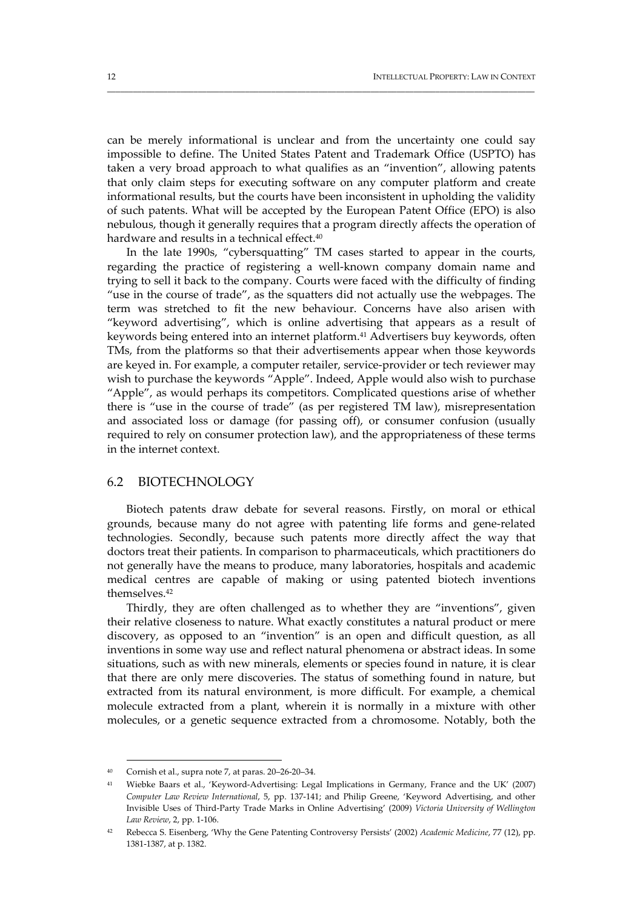can be merely informational is unclear and from the uncertainty one could say impossible to define. The United States Patent and Trademark Office (USPTO) has taken a very broad approach to what qualifies as an "invention", allowing patents that only claim steps for executing software on any computer platform and create informational results, but the courts have been inconsistent in upholding the validity of such patents. What will be accepted by the European Patent Office (EPO) is also nebulous, though it generally requires that a program directly affects the operation of hardware and results in a technical effect.<sup>40</sup>

\_\_\_\_\_\_\_\_\_\_\_\_\_\_\_\_\_\_\_\_\_\_\_\_\_\_\_\_\_\_\_\_\_\_\_\_\_\_\_\_\_\_\_\_\_\_\_\_\_\_\_\_\_\_\_\_\_\_\_\_\_\_\_\_\_\_\_\_\_\_\_\_\_\_\_\_\_\_\_\_\_\_\_\_\_\_\_\_\_\_\_\_\_\_\_\_\_\_\_

In the late 1990s, "cybersquatting" TM cases started to appear in the courts, regarding the practice of registering a well-known company domain name and trying to sell it back to the company. Courts were faced with the difficulty of finding "use in the course of trade", as the squatters did not actually use the webpages. The term was stretched to fit the new behaviour. Concerns have also arisen with "keyword advertising", which is online advertising that appears as a result of keywords being entered into an internet platform.<sup>41</sup> Advertisers buy keywords, often TMs, from the platforms so that their advertisements appear when those keywords are keyed in. For example, a computer retailer, service‐provider or tech reviewer may wish to purchase the keywords "Apple". Indeed, Apple would also wish to purchase "Apple", as would perhaps its competitors. Complicated questions arise of whether there is "use in the course of trade" (as per registered TM law), misrepresentation and associated loss or damage (for passing off), or consumer confusion (usually required to rely on consumer protection law), and the appropriateness of these terms in the internet context.

#### 6.2 BIOTECHNOLOGY

Biotech patents draw debate for several reasons. Firstly, on moral or ethical grounds, because many do not agree with patenting life forms and gene‐related technologies. Secondly, because such patents more directly affect the way that doctors treat their patients. In comparison to pharmaceuticals, which practitioners do not generally have the means to produce, many laboratories, hospitals and academic medical centres are capable of making or using patented biotech inventions themselves.42

Thirdly, they are often challenged as to whether they are "inventions", given their relative closeness to nature. What exactly constitutes a natural product or mere discovery, as opposed to an "invention" is an open and difficult question, as all inventions in some way use and reflect natural phenomena or abstract ideas. In some situations, such as with new minerals, elements or species found in nature, it is clear that there are only mere discoveries. The status of something found in nature, but extracted from its natural environment, is more difficult. For example, a chemical molecule extracted from a plant, wherein it is normally in a mixture with other molecules, or a genetic sequence extracted from a chromosome. Notably, both the

<sup>&</sup>lt;u> 1989 - Johann Stein, marwolaethau a bhann an t-Amhair Aonaichte ann an t-Amhair Aonaichte ann an t-Amhair Aon</u>  $40$  Cornish et al., supra note 7, at paras.  $20-26-20-34$ .

<sup>41</sup> Wiebke Baars et al., 'Keyword‐Advertising: Legal Implications in Germany, France and the UK' (2007) *Computer Law Review International*, 5, pp. 137‐141; and Philip Greene, 'Keyword Advertising, and other Invisible Uses of Third‐Party Trade Marks in Online Advertising' (2009) *Victoria University of Wellington Law Review*, 2, pp. 1‐106.

<sup>42</sup> Rebecca S. Eisenberg, 'Why the Gene Patenting Controversy Persists' (2002) *Academic Medicine*, 77 (12), pp. 1381‐1387, at p. 1382.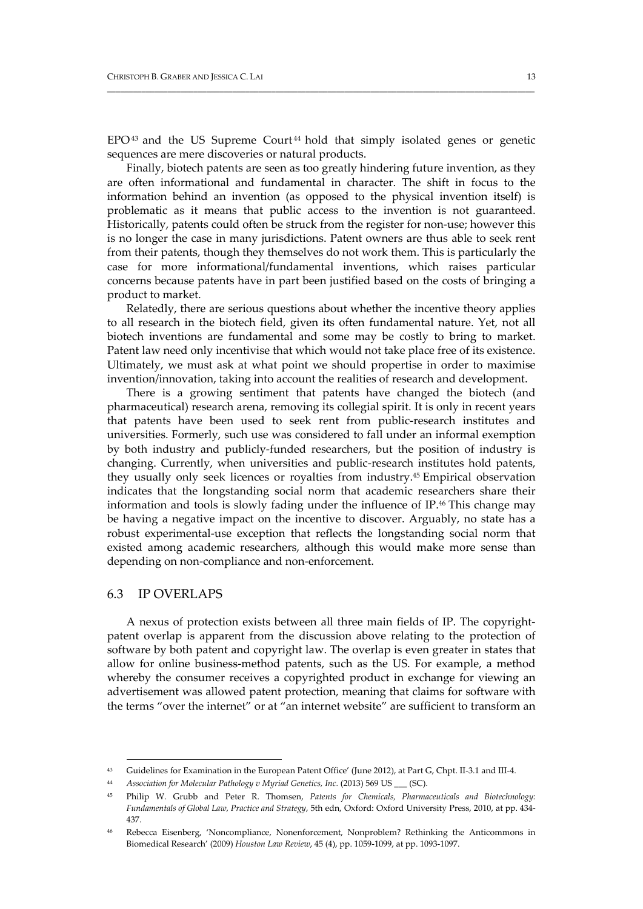$EPO<sup>43</sup>$  and the US Supreme Court<sup>44</sup> hold that simply isolated genes or genetic sequences are mere discoveries or natural products.

\_\_\_\_\_\_\_\_\_\_\_\_\_\_\_\_\_\_\_\_\_\_\_\_\_\_\_\_\_\_\_\_\_\_\_\_\_\_\_\_\_\_\_\_\_\_\_\_\_\_\_\_\_\_\_\_\_\_\_\_\_\_\_\_\_\_\_\_\_\_\_\_\_\_\_\_\_\_\_\_\_\_\_\_\_\_\_\_\_\_\_\_\_\_\_\_\_\_\_

Finally, biotech patents are seen as too greatly hindering future invention, as they are often informational and fundamental in character. The shift in focus to the information behind an invention (as opposed to the physical invention itself) is problematic as it means that public access to the invention is not guaranteed. Historically, patents could often be struck from the register for non-use; however this is no longer the case in many jurisdictions. Patent owners are thus able to seek rent from their patents, though they themselves do not work them. This is particularly the case for more informational/fundamental inventions, which raises particular concerns because patents have in part been justified based on the costs of bringing a product to market.

Relatedly, there are serious questions about whether the incentive theory applies to all research in the biotech field, given its often fundamental nature. Yet, not all biotech inventions are fundamental and some may be costly to bring to market. Patent law need only incentivise that which would not take place free of its existence. Ultimately, we must ask at what point we should propertise in order to maximise invention/innovation, taking into account the realities of research and development.

There is a growing sentiment that patents have changed the biotech (and pharmaceutical) research arena, removing its collegial spirit. It is only in recent years that patents have been used to seek rent from public‐research institutes and universities. Formerly, such use was considered to fall under an informal exemption by both industry and publicly‐funded researchers, but the position of industry is changing. Currently, when universities and public‐research institutes hold patents, they usually only seek licences or royalties from industry.45 Empirical observation indicates that the longstanding social norm that academic researchers share their information and tools is slowly fading under the influence of  $IP<sup>46</sup>$  This change may be having a negative impact on the incentive to discover. Arguably, no state has a robust experimental‐use exception that reflects the longstanding social norm that existed among academic researchers, although this would make more sense than depending on non‐compliance and non‐enforcement.

#### 6.3 IP OVERLAPS

A nexus of protection exists between all three main fields of IP. The copyright‐ patent overlap is apparent from the discussion above relating to the protection of software by both patent and copyright law. The overlap is even greater in states that allow for online business‐method patents, such as the US. For example, a method whereby the consumer receives a copyrighted product in exchange for viewing an advertisement was allowed patent protection, meaning that claims for software with the terms "over the internet" or at "an internet website" are sufficient to transform an

<sup>43</sup> Guidelines for Examination in the European Patent Office' (June 2012), at Part G, Chpt. II‐3.1 and III‐4.

<sup>44</sup> *Association for Molecular Pathology v Myriad Genetics, Inc.* (2013) 569 US \_\_\_ (SC).

<sup>45</sup> Philip W. Grubb and Peter R. Thomsen, *Patents for Chemicals, Pharmaceuticals and Biotechnology: Fundamentals of Global Law, Practice and Strategy*, 5th edn, Oxford: Oxford University Press, 2010, at pp. 434‐ 437.

<sup>46</sup> Rebecca Eisenberg, 'Noncompliance, Nonenforcement, Nonproblem? Rethinking the Anticommons in Biomedical Research' (2009) *Houston Law Review*, 45 (4), pp. 1059‐1099, at pp. 1093‐1097.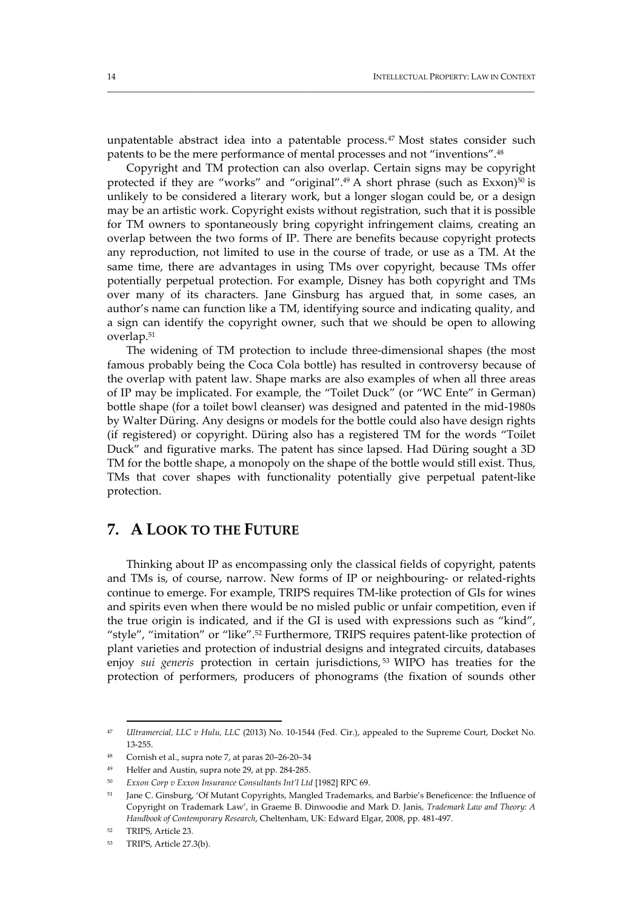unpatentable abstract idea into a patentable process.47 Most states consider such patents to be the mere performance of mental processes and not "inventions".48

\_\_\_\_\_\_\_\_\_\_\_\_\_\_\_\_\_\_\_\_\_\_\_\_\_\_\_\_\_\_\_\_\_\_\_\_\_\_\_\_\_\_\_\_\_\_\_\_\_\_\_\_\_\_\_\_\_\_\_\_\_\_\_\_\_\_\_\_\_\_\_\_\_\_\_\_\_\_\_\_\_\_\_\_\_\_\_\_\_\_\_\_\_\_\_\_\_\_\_

Copyright and TM protection can also overlap. Certain signs may be copyright protected if they are "works" and "original". $49$  A short phrase (such as Exxon) $50$  is unlikely to be considered a literary work, but a longer slogan could be, or a design may be an artistic work. Copyright exists without registration, such that it is possible for TM owners to spontaneously bring copyright infringement claims, creating an overlap between the two forms of IP. There are benefits because copyright protects any reproduction, not limited to use in the course of trade, or use as a TM. At the same time, there are advantages in using TMs over copyright, because TMs offer potentially perpetual protection. For example, Disney has both copyright and TMs over many of its characters. Jane Ginsburg has argued that, in some cases, an author's name can function like a TM, identifying source and indicating quality, and a sign can identify the copyright owner, such that we should be open to allowing overlap.51

The widening of TM protection to include three-dimensional shapes (the most famous probably being the Coca Cola bottle) has resulted in controversy because of the overlap with patent law. Shape marks are also examples of when all three areas of IP may be implicated. For example, the "Toilet Duck" (or "WC Ente" in German) bottle shape (for a toilet bowl cleanser) was designed and patented in the mid‐1980s by Walter Düring. Any designs or models for the bottle could also have design rights (if registered) or copyright. Düring also has a registered TM for the words "Toilet Duck" and figurative marks. The patent has since lapsed. Had Düring sought a 3D TM for the bottle shape, a monopoly on the shape of the bottle would still exist. Thus, TMs that cover shapes with functionality potentially give perpetual patent‐like protection.

## **7. A LOOK TO THE FUTURE**

Thinking about IP as encompassing only the classical fields of copyright, patents and TMs is, of course, narrow. New forms of IP or neighbouring- or related-rights continue to emerge. For example, TRIPS requires TM‐like protection of GIs for wines and spirits even when there would be no misled public or unfair competition, even if the true origin is indicated, and if the GI is used with expressions such as "kind", "style", "imitation" or "like".52 Furthermore, TRIPS requires patent‐like protection of plant varieties and protection of industrial designs and integrated circuits, databases enjoy *sui generis* protection in certain jurisdictions, <sup>53</sup> WIPO has treaties for the protection of performers, producers of phonograms (the fixation of sounds other

<sup>47</sup> *Ultramercial, LLC v Hulu, LLC* (2013) No. 10‐1544 (Fed. Cir.), appealed to the Supreme Court, Docket No. 13‐255.

<sup>48</sup> Cornish et al., supra note 7, at paras 20–26‐20–34

Helfer and Austin, supra note 29, at pp. 284-285.

<sup>50</sup> *Exxon Corp v Exxon Insurance Consultants Int'l Ltd* [1982] RPC 69.

<sup>&</sup>lt;sup>51</sup> Jane C. Ginsburg, 'Of Mutant Copyrights, Mangled Trademarks, and Barbie's Beneficence: the Influence of Copyright on Trademark Law', in Graeme B. Dinwoodie and Mark D. Janis, *Trademark Law and Theory: A Handbook of Contemporary Research*, Cheltenham, UK: Edward Elgar, 2008, pp. 481‐497.

<sup>52</sup> TRIPS, Article 23.

<sup>53</sup> TRIPS, Article 27.3(b).